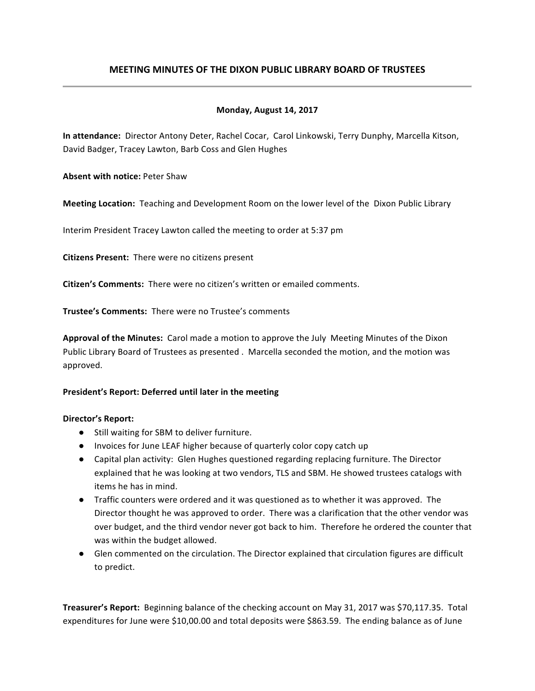# **MEETING MINUTES OF THE DIXON PUBLIC LIBRARY BOARD OF TRUSTEES**

# **Monday, August 14, 2017**

In attendance: Director Antony Deter, Rachel Cocar, Carol Linkowski, Terry Dunphy, Marcella Kitson, David Badger, Tracey Lawton, Barb Coss and Glen Hughes

**Absent with notice: Peter Shaw** 

**Meeting Location:** Teaching and Development Room on the lower level of the Dixon Public Library

Interim President Tracey Lawton called the meeting to order at 5:37 pm

**Citizens Present:** There were no citizens present

**Citizen's Comments:** There were no citizen's written or emailed comments.

**Trustee's Comments:** There were no Trustee's comments

**Approval of the Minutes:** Carol made a motion to approve the July Meeting Minutes of the Dixon Public Library Board of Trustees as presented . Marcella seconded the motion, and the motion was approved.

#### President's Report: Deferred until later in the meeting

#### **Director's Report:**

- Still waiting for SBM to deliver furniture.
- Invoices for June LEAF higher because of quarterly color copy catch up
- Capital plan activity: Glen Hughes questioned regarding replacing furniture. The Director explained that he was looking at two vendors, TLS and SBM. He showed trustees catalogs with items he has in mind.
- Traffic counters were ordered and it was questioned as to whether it was approved. The Director thought he was approved to order. There was a clarification that the other vendor was over budget, and the third vendor never got back to him. Therefore he ordered the counter that was within the budget allowed.
- Glen commented on the circulation. The Director explained that circulation figures are difficult to predict.

**Treasurer's Report:** Beginning balance of the checking account on May 31, 2017 was \$70,117.35. Total expenditures for June were \$10,00.00 and total deposits were \$863.59. The ending balance as of June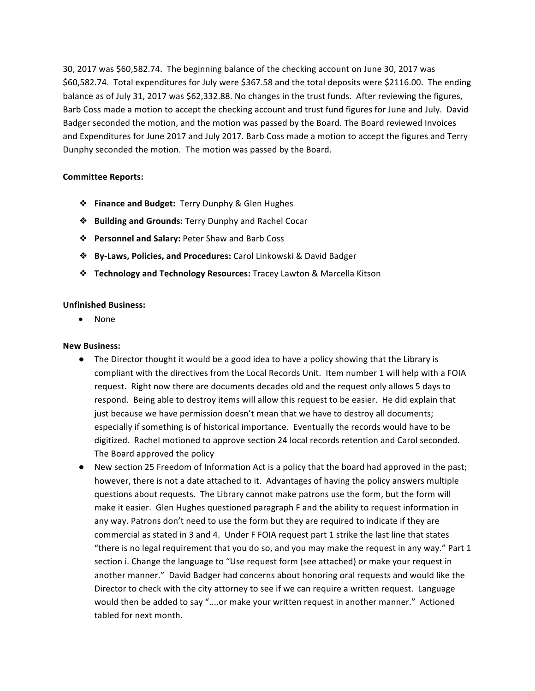30, 2017 was \$60,582.74. The beginning balance of the checking account on June 30, 2017 was \$60,582.74. Total expenditures for July were \$367.58 and the total deposits were \$2116.00. The ending balance as of July 31, 2017 was \$62,332.88. No changes in the trust funds. After reviewing the figures, Barb Coss made a motion to accept the checking account and trust fund figures for June and July. David Badger seconded the motion, and the motion was passed by the Board. The Board reviewed Invoices and Expenditures for June 2017 and July 2017. Barb Coss made a motion to accept the figures and Terry Dunphy seconded the motion. The motion was passed by the Board.

# **Committee Reports:**

- ❖ **Finance and Budget:** Terry Dunphy & Glen Hughes
- ❖ **Building and Grounds:** Terry Dunphy and Rachel Cocar
- ❖ **Personnel and Salary:** Peter Shaw and Barb Coss
- ❖ **By-Laws, Policies, and Procedures:** Carol Linkowski & David Badger
- ❖ **Technology and Technology Resources:** Tracey Lawton & Marcella Kitson

### **Unfinished Business:**

• None

# **New Business:**

- The Director thought it would be a good idea to have a policy showing that the Library is compliant with the directives from the Local Records Unit. Item number 1 will help with a FOIA request. Right now there are documents decades old and the request only allows 5 days to respond. Being able to destroy items will allow this request to be easier. He did explain that just because we have permission doesn't mean that we have to destroy all documents; especially if something is of historical importance. Eventually the records would have to be digitized. Rachel motioned to approve section 24 local records retention and Carol seconded. The Board approved the policy
- New section 25 Freedom of Information Act is a policy that the board had approved in the past; however, there is not a date attached to it. Advantages of having the policy answers multiple questions about requests. The Library cannot make patrons use the form, but the form will make it easier. Glen Hughes questioned paragraph F and the ability to request information in any way. Patrons don't need to use the form but they are required to indicate if they are commercial as stated in 3 and 4. Under F FOIA request part 1 strike the last line that states "there is no legal requirement that you do so, and you may make the request in any way." Part 1 section i. Change the language to "Use request form (see attached) or make your request in another manner." David Badger had concerns about honoring oral requests and would like the Director to check with the city attorney to see if we can require a written request. Language would then be added to say "....or make your written request in another manner." Actioned tabled for next month.